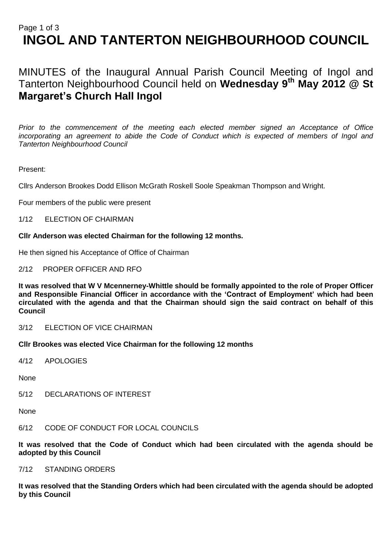# Page 1 of 3 **INGOL AND TANTERTON NEIGHBOURHOOD COUNCIL**

MINUTES of the Inaugural Annual Parish Council Meeting of Ingol and Tanterton Neighbourhood Council held on **Wednesday 9th May 2012 @ St Margaret's Church Hall Ingol** 

*Prior to the commencement of the meeting each elected member signed an Acceptance of Office incorporating an agreement to abide the Code of Conduct which is expected of members of Ingol and Tanterton Neighbourhood Council* 

# Present:

Cllrs Anderson Brookes Dodd Ellison McGrath Roskell Soole Speakman Thompson and Wright.

Four members of the public were present

1/12 ELECTION OF CHAIRMAN

## **Cllr Anderson was elected Chairman for the following 12 months.**

He then signed his Acceptance of Office of Chairman

## 2/12 PROPER OFFICER AND RFO

**It was resolved that W V Mcennerney-Whittle should be formally appointed to the role of Proper Officer and Responsible Financial Officer in accordance with the 'Contract of Employment' which had been circulated with the agenda and that the Chairman should sign the said contract on behalf of this Council**

3/12 ELECTION OF VICE CHAIRMAN

**Cllr Brookes was elected Vice Chairman for the following 12 months**

4/12 APOLOGIES

None

5/12 DECLARATIONS OF INTEREST

None

6/12 CODE OF CONDUCT FOR LOCAL COUNCILS

**It was resolved that the Code of Conduct which had been circulated with the agenda should be adopted by this Council**

#### 7/12 STANDING ORDERS

**It was resolved that the Standing Orders which had been circulated with the agenda should be adopted by this Council**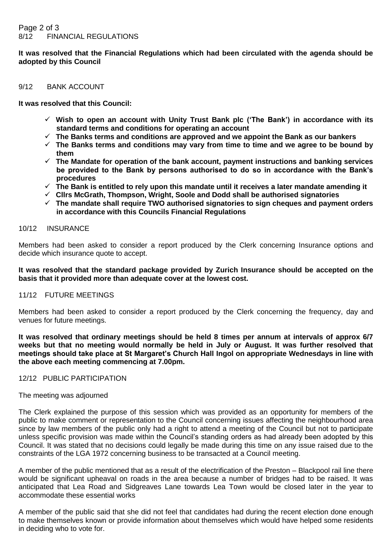**It was resolved that the Financial Regulations which had been circulated with the agenda should be adopted by this Council**

#### 9/12 BANK ACCOUNT

**It was resolved that this Council:**

- **Wish to open an account with Unity Trust Bank plc ('The Bank') in accordance with its standard terms and conditions for operating an account**
- **The Banks terms and conditions are approved and we appoint the Bank as our bankers**
- **The Banks terms and conditions may vary from time to time and we agree to be bound by them**
- **The Mandate for operation of the bank account, payment instructions and banking services be provided to the Bank by persons authorised to do so in accordance with the Bank's procedures**
- **The Bank is entitled to rely upon this mandate until it receives a later mandate amending it**
- **Cllrs McGrath, Thompson, Wright, Soole and Dodd shall be authorised signatories**
- **The mandate shall require TWO authorised signatories to sign cheques and payment orders in accordance with this Councils Financial Regulations**

## 10/12 INSURANCE

Members had been asked to consider a report produced by the Clerk concerning Insurance options and decide which insurance quote to accept.

## **It was resolved that the standard package provided by Zurich Insurance should be accepted on the basis that it provided more than adequate cover at the lowest cost.**

## 11/12 FUTURE MEETINGS

Members had been asked to consider a report produced by the Clerk concerning the frequency, day and venues for future meetings.

**It was resolved that ordinary meetings should be held 8 times per annum at intervals of approx 6/7 weeks but that no meeting would normally be held in July or August. It was further resolved that meetings should take place at St Margaret's Church Hall Ingol on appropriate Wednesdays in line with the above each meeting commencing at 7.00pm.**

12/12 PUBLIC PARTICIPATION

#### The meeting was adjourned

The Clerk explained the purpose of this session which was provided as an opportunity for members of the public to make comment or representation to the Council concerning issues affecting the neighbourhood area since by law members of the public only had a right to attend a meeting of the Council but not to participate unless specific provision was made within the Council's standing orders as had already been adopted by this Council. It was stated that no decisions could legally be made during this time on any issue raised due to the constraints of the LGA 1972 concerning business to be transacted at a Council meeting.

A member of the public mentioned that as a result of the electrification of the Preston – Blackpool rail line there would be significant upheaval on roads in the area because a number of bridges had to be raised. It was anticipated that Lea Road and Sidgreaves Lane towards Lea Town would be closed later in the year to accommodate these essential works

A member of the public said that she did not feel that candidates had during the recent election done enough to make themselves known or provide information about themselves which would have helped some residents in deciding who to vote for.